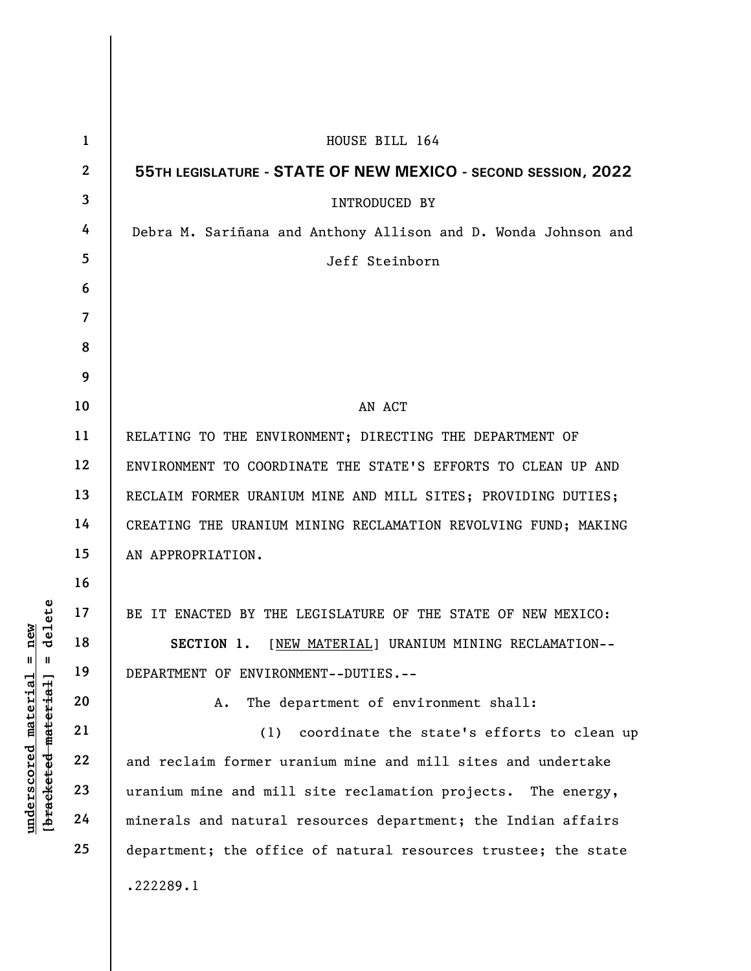|                                       | $\mathbf{1}$     | HOUSE BILL 164                                                  |
|---------------------------------------|------------------|-----------------------------------------------------------------|
|                                       | $\boldsymbol{2}$ | 55TH LEGISLATURE - STATE OF NEW MEXICO - SECOND SESSION, 2022   |
|                                       | 3                | <b>INTRODUCED BY</b>                                            |
|                                       | 4                | Debra M. Sariñana and Anthony Allison and D. Wonda Johnson and  |
|                                       | 5                | Jeff Steinborn                                                  |
|                                       | 6                |                                                                 |
|                                       | $\overline{7}$   |                                                                 |
|                                       | 8                |                                                                 |
|                                       | 9                |                                                                 |
|                                       | 10               | AN ACT                                                          |
|                                       | 11               | RELATING TO THE ENVIRONMENT; DIRECTING THE DEPARTMENT OF        |
|                                       | 12               | ENVIRONMENT TO COORDINATE THE STATE'S EFFORTS TO CLEAN UP AND   |
|                                       | 13               | RECLAIM FORMER URANIUM MINE AND MILL SITES; PROVIDING DUTIES;   |
|                                       | 14               | CREATING THE URANIUM MINING RECLAMATION REVOLVING FUND; MAKING  |
|                                       | 15               | AN APPROPRIATION.                                               |
|                                       | 16               |                                                                 |
| delete                                | 17               | BE IT ENACTED BY THE LEGISLATURE OF THE STATE OF NEW MEXICO:    |
| new                                   | 18               | [NEW MATERIAL] URANIUM MINING RECLAMATION--<br>SECTION 1.       |
| H<br>Ш                                | 19               | DEPARTMENT OF ENVIRONMENT--DUTIES.--                            |
| $\mathtt{material}$<br>material       | 20               | The department of environment shall:<br>Α.                      |
|                                       | 21               | coordinate the state's efforts to clean up<br>(1)               |
|                                       | 22               | and reclaim former uranium mine and mill sites and undertake    |
| $\bm{{\rm underscore}}$<br>[bracketed | 23               | uranium mine and mill site reclamation projects.<br>The energy, |
|                                       | 24               | minerals and natural resources department; the Indian affairs   |
|                                       | 25               | department; the office of natural resources trustee; the state  |
|                                       |                  | .222289.1                                                       |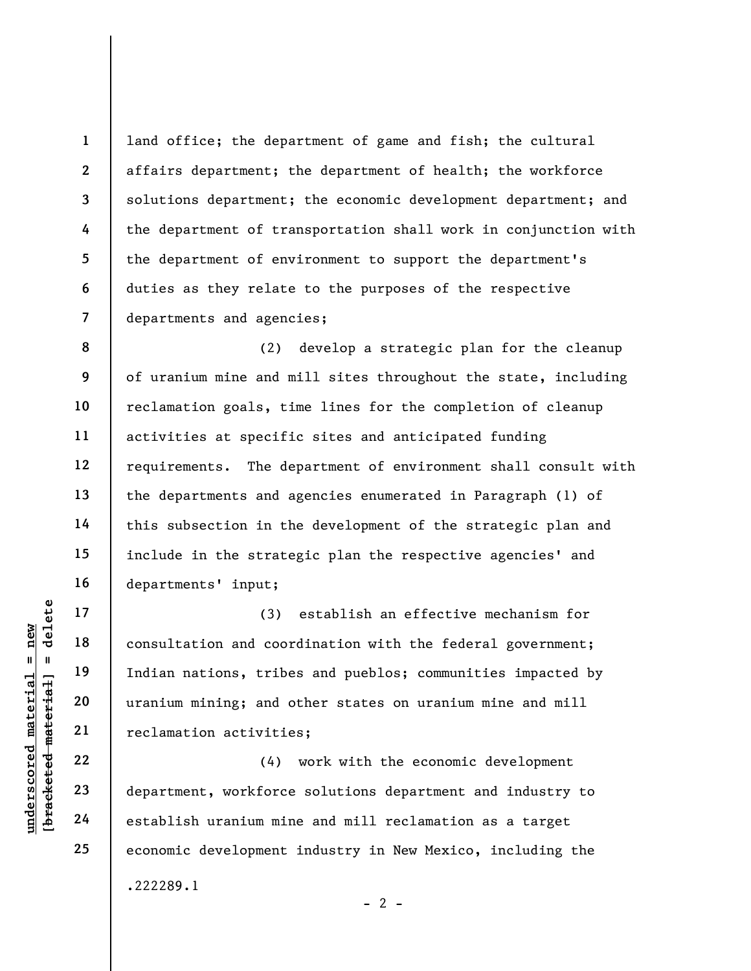1 2 3 4 5 6 7 land office; the department of game and fish; the cultural affairs department; the department of health; the workforce solutions department; the economic development department; and the department of transportation shall work in conjunction with the department of environment to support the department's duties as they relate to the purposes of the respective departments and agencies;

8 9 10 11 12 13 14 15 16 (2) develop a strategic plan for the cleanup of uranium mine and mill sites throughout the state, including reclamation goals, time lines for the completion of cleanup activities at specific sites and anticipated funding requirements. The department of environment shall consult with the departments and agencies enumerated in Paragraph (1) of this subsection in the development of the strategic plan and include in the strategic plan the respective agencies' and departments' input;

underscored material = new [bracketed material] = delete (3) establish an effective mechanism for consultation and coordination with the federal government; Indian nations, tribes and pueblos; communities impacted by uranium mining; and other states on uranium mine and mill reclamation activities;

(4) work with the economic development department, workforce solutions department and industry to establish uranium mine and mill reclamation as a target economic development industry in New Mexico, including the .222289.1

17

18

19

20

21

22

23

24

25

 $- 2 -$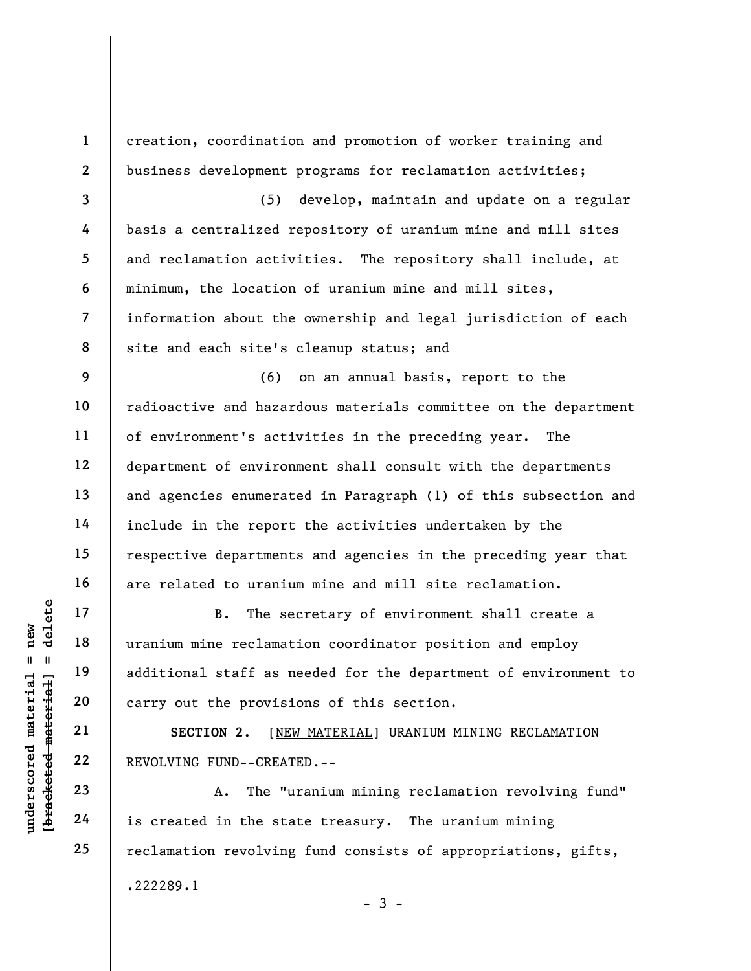UNERELATE 19<br>
UNERELATE 19<br>
UNERELATE 19<br>
UNERELATE 19<br>
UNERELATE 20<br>
UNERELATE 22<br>
UNERELATE 22<br>
UNERELATE 23<br>
24<br>
24<br>
IS Created in the sta 1 2 3 4 5 6 7 8 9 10 11 12 13 14 15 16 17 18 19 20 21 22 23 24 25 creation, coordination and promotion of worker training and business development programs for reclamation activities; (5) develop, maintain and update on a regular basis a centralized repository of uranium mine and mill sites and reclamation activities. The repository shall include, at minimum, the location of uranium mine and mill sites, information about the ownership and legal jurisdiction of each site and each site's cleanup status; and (6) on an annual basis, report to the radioactive and hazardous materials committee on the department of environment's activities in the preceding year. The department of environment shall consult with the departments and agencies enumerated in Paragraph (1) of this subsection and include in the report the activities undertaken by the respective departments and agencies in the preceding year that are related to uranium mine and mill site reclamation. B. The secretary of environment shall create a uranium mine reclamation coordinator position and employ additional staff as needed for the department of environment to carry out the provisions of this section. SECTION 2. [NEW MATERIAL] URANIUM MINING RECLAMATION REVOLVING FUND--CREATED.-- A. The "uranium mining reclamation revolving fund" is created in the state treasury. The uranium mining reclamation revolving fund consists of appropriations, gifts, .222289.1

 $-3 -$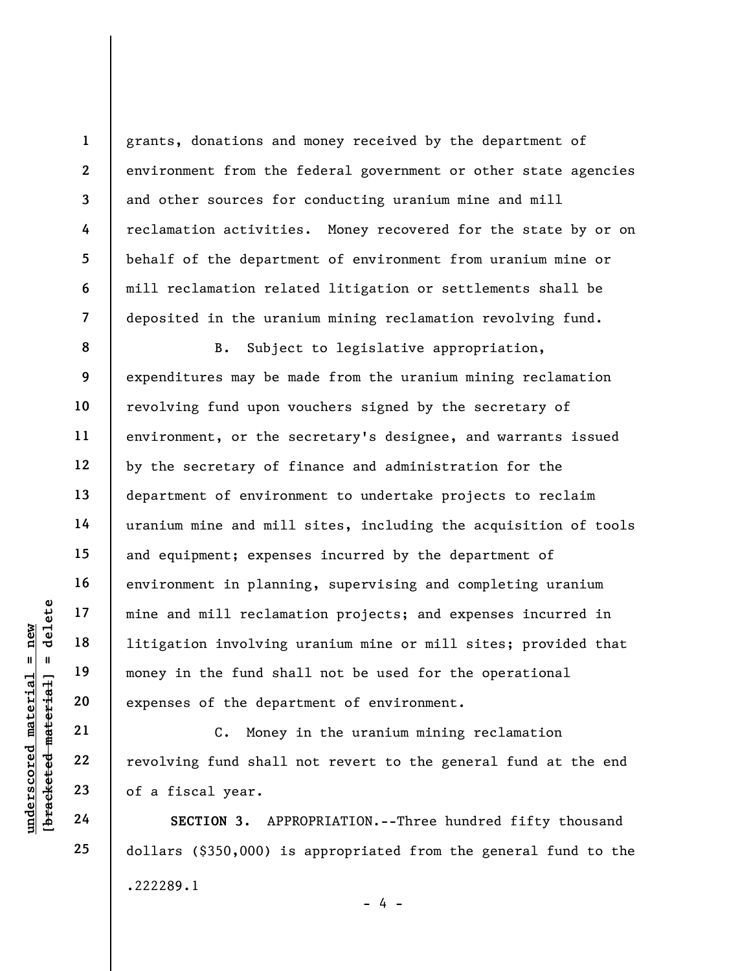grants, donations and money received by the department of environment from the federal government or other state agencies and other sources for conducting uranium mine and mill reclamation activities. Money recovered for the state by or on behalf of the department of environment from uranium mine or mill reclamation related litigation or settlements shall be deposited in the uranium mining reclamation revolving fund.

underscored material = new [bracketed material] = delete 8 9 10 11 12 13 14 15 16 17 18 19 20 B. Subject to legislative appropriation, expenditures may be made from the uranium mining reclamation revolving fund upon vouchers signed by the secretary of environment, or the secretary's designee, and warrants issued by the secretary of finance and administration for the department of environment to undertake projects to reclaim uranium mine and mill sites, including the acquisition of tools and equipment; expenses incurred by the department of environment in planning, supervising and completing uranium mine and mill reclamation projects; and expenses incurred in litigation involving uranium mine or mill sites; provided that money in the fund shall not be used for the operational expenses of the department of environment.

C. Money in the uranium mining reclamation revolving fund shall not revert to the general fund at the end of a fiscal year.

SECTION 3. APPROPRIATION.--Three hundred fifty thousand dollars (\$350,000) is appropriated from the general fund to the .222289.1

 $- 4 -$ 

24

21

22

23

25

1

2

3

4

5

6

7